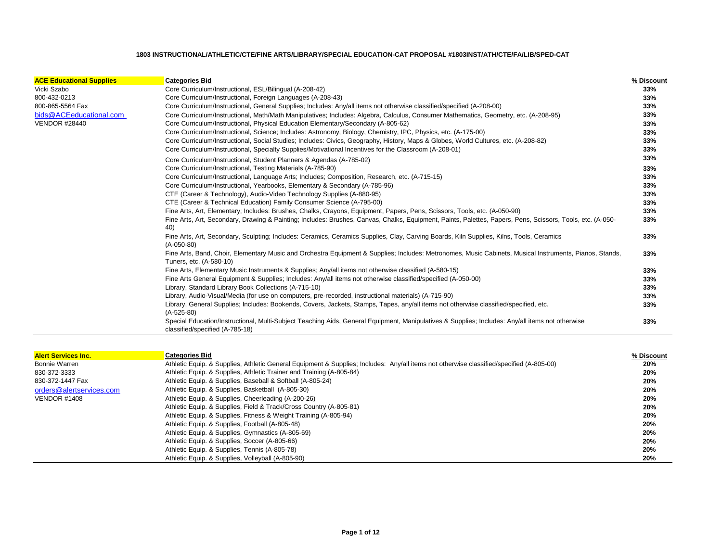| <b>ACE Educational Supplies</b> | <b>Categories Bid</b>                                                                                                                                                               | % Discount |
|---------------------------------|-------------------------------------------------------------------------------------------------------------------------------------------------------------------------------------|------------|
| Vicki Szabo                     | Core Curriculum/Instructional, ESL/Bilingual (A-208-42)                                                                                                                             | 33%        |
| 800-432-0213                    | Core Curriculum/Instructional, Foreign Languages (A-208-43)                                                                                                                         | 33%        |
| 800-865-5564 Fax                | Core Curriculum/Instructional, General Supplies; Includes: Any/all items not otherwise classified/specified (A-208-00)                                                              | 33%        |
| bids@ACEeducational.com         | Core Curriculum/Instructional, Math/Math Manipulatives; Includes: Algebra, Calculus, Consumer Mathematics, Geometry, etc. (A-208-95)                                                | 33%        |
| <b>VENDOR #28440</b>            | Core Curriculum/Instructional, Physical Education Elementary/Secondary (A-805-62)                                                                                                   | 33%        |
|                                 | Core Curriculum/Instructional, Science; Includes: Astronomy, Biology, Chemistry, IPC, Physics, etc. (A-175-00)                                                                      | 33%        |
|                                 | Core Curriculum/Instructional, Social Studies; Includes: Civics, Geography, History, Maps & Globes, World Cultures, etc. (A-208-82)                                                 | 33%        |
|                                 | Core Curriculum/Instructional, Specialty Supplies/Motivational Incentives for the Classroom (A-208-01)                                                                              | 33%        |
|                                 | Core Curriculum/Instructional, Student Planners & Agendas (A-785-02)                                                                                                                | 33%        |
|                                 | Core Curriculum/Instructional, Testing Materials (A-785-90)                                                                                                                         | 33%        |
|                                 | Core Curriculum/Instructional, Language Arts; Includes; Composition, Research, etc. (A-715-15)                                                                                      | 33%        |
|                                 | Core Curriculum/Instructional, Yearbooks, Elementary & Secondary (A-785-96)                                                                                                         | 33%        |
|                                 | CTE (Career & Technology), Audio-Video Technology Supplies (A-880-95)                                                                                                               | 33%        |
|                                 | CTE (Career & Technical Education) Family Consumer Science (A-795-00)                                                                                                               | 33%        |
|                                 | Fine Arts, Art, Elementary; Includes: Brushes, Chalks, Crayons, Equipment, Papers, Pens, Scissors, Tools, etc. (A-050-90)                                                           | 33%        |
|                                 | Fine Arts, Art, Secondary, Drawing & Painting; Includes: Brushes, Canvas, Chalks, Equipment, Paints, Palettes, Papers, Pens, Scissors, Tools, etc. (A-050-<br>40)                   | 33%        |
|                                 | Fine Arts, Art, Secondary, Sculpting; Includes: Ceramics, Ceramics Supplies, Clay, Carving Boards, Kiln Supplies, Kilns, Tools, Ceramics<br>$(A-050-80)$                            | 33%        |
|                                 | Fine Arts, Band, Choir, Elementary Music and Orchestra Equipment & Supplies; Includes: Metronomes, Music Cabinets, Musical Instruments, Pianos, Stands,<br>Tuners, etc. (A-580-10)  | 33%        |
|                                 | Fine Arts, Elementary Music Instruments & Supplies; Any/all items not otherwise classified (A-580-15)                                                                               | 33%        |
|                                 | Fine Arts General Equipment & Supplies; Includes: Any/all items not otherwise classified/specified (A-050-00)                                                                       | 33%        |
|                                 | Library, Standard Library Book Collections (A-715-10)                                                                                                                               | 33%        |
|                                 | Library, Audio-Visual/Media (for use on computers, pre-recorded, instructional materials) (A-715-90)                                                                                | 33%        |
|                                 | Library, General Supplies; Includes: Bookends, Covers, Jackets, Stamps, Tapes, any/all items not otherwise classified/specified, etc.<br>$(A-525-80)$                               | 33%        |
|                                 | Special Education/Instructional, Multi-Subject Teaching Aids, General Equipment, Manipulatives & Supplies; Includes: Any/all items not otherwise<br>classified/specified (A-785-18) | 33%        |

| <b>Alert Services Inc.</b> | <b>Categories Bid</b>                                                                                                                    | % Discount |
|----------------------------|------------------------------------------------------------------------------------------------------------------------------------------|------------|
| Bonnie Warren              | Athletic Equip. & Supplies, Athletic General Equipment & Supplies; Includes: Any/all items not otherwise classified/specified (A-805-00) | 20%        |
| 830-372-3333               | Athletic Equip. & Supplies, Athletic Trainer and Training (A-805-84)                                                                     | 20%        |
| 830-372-1447 Fax           | Athletic Equip. & Supplies, Baseball & Softball (A-805-24)                                                                               | 20%        |
| orders@alertservices.com   | Athletic Equip. & Supplies, Basketball (A-805-30)                                                                                        | 20%        |
| <b>VENDOR #1408</b>        | Athletic Equip. & Supplies, Cheerleading (A-200-26)                                                                                      | 20%        |
|                            | Athletic Equip. & Supplies, Field & Track/Cross Country (A-805-81)                                                                       | 20%        |
|                            | Athletic Equip. & Supplies, Fitness & Weight Training (A-805-94)                                                                         | 20%        |
|                            | Athletic Equip. & Supplies, Football (A-805-48)                                                                                          | 20%        |
|                            | Athletic Equip. & Supplies, Gymnastics (A-805-69)                                                                                        | 20%        |
|                            | Athletic Equip. & Supplies, Soccer (A-805-66)                                                                                            | 20%        |
|                            | Athletic Equip. & Supplies, Tennis (A-805-78)                                                                                            | 20%        |
|                            | Athletic Equip. & Supplies, Volleyball (A-805-90)                                                                                        | 20%        |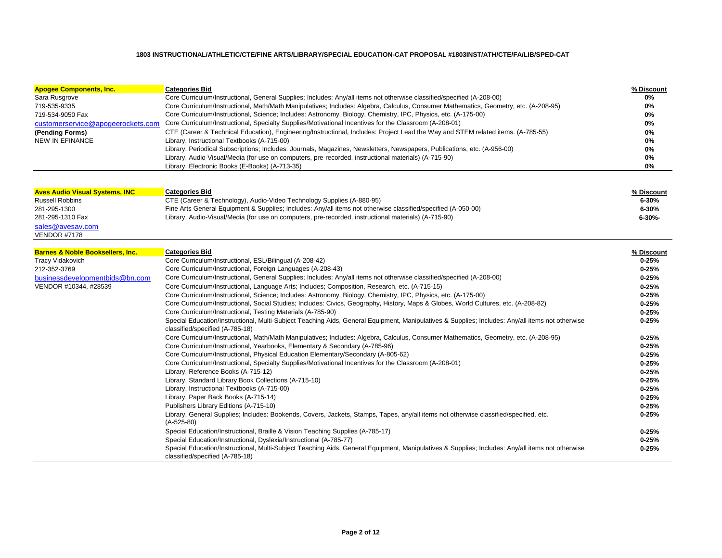| <b>Apogee Components, Inc.</b>    | <b>Categories Bid</b>                                                                                                                | % Discount |
|-----------------------------------|--------------------------------------------------------------------------------------------------------------------------------------|------------|
| Sara Rusgrove                     | Core Curriculum/Instructional, General Supplies; Includes: Any/all items not otherwise classified/specified (A-208-00)               | 0%         |
| 719-535-9335                      | Core Curriculum/Instructional, Math/Math Manipulatives; Includes: Algebra, Calculus, Consumer Mathematics, Geometry, etc. (A-208-95) | 0%         |
| 719-534-9050 Fax                  | Core Curriculum/Instructional, Science; Includes: Astronomy, Biology, Chemistry, IPC, Physics, etc. (A-175-00)                       | 0%         |
| customerservice@apogeerockets.com | Core Curriculum/Instructional, Specialty Supplies/Motivational Incentives for the Classroom (A-208-01)                               | 0%         |
| (Pending Forms)                   | CTE (Career & Technical Education), Engineering/Instructional, Includes: Project Lead the Way and STEM related items. (A-785-55)     | 0%         |
| NEW IN EFINANCE                   | Library, Instructional Textbooks (A-715-00)                                                                                          | 0%         |
|                                   | Library, Periodical Subscriptions; Includes: Journals, Magazines, Newsletters, Newspapers, Publications, etc. (A-956-00)             | 0%         |
|                                   | Library, Audio-Visual/Media (for use on computers, pre-recorded, instructional materials) (A-715-90)                                 | 0%         |
|                                   | Library, Electronic Books (E-Books) (A-713-35)                                                                                       | 0%         |

| <b>Aves Audio Visual Systems, INC</b> | <b>Categories Bid</b>                                                                                         | % Discount |
|---------------------------------------|---------------------------------------------------------------------------------------------------------------|------------|
|                                       |                                                                                                               |            |
| Russell Robbins                       | CTE (Career & Technology), Audio-Video Technology Supplies (A-880-95)                                         | $6 - 30%$  |
| 281-295-1300                          | Fine Arts General Equipment & Supplies; Includes: Any/all items not otherwise classified/specified (A-050-00) | $6 - 30%$  |
| 281-295-1310 Fax                      | Library, Audio-Visual/Media (for use on computers, pre-recorded, instructional materials) (A-715-90)          | 6-30%-     |
| sales@avesav.com                      |                                                                                                               |            |
| <b>VENDOR #7178</b>                   |                                                                                                               |            |

| <b>Barnes &amp; Noble Booksellers, Inc.</b> | <b>Categories Bid</b>                                                                                                                                                               | % Discount |
|---------------------------------------------|-------------------------------------------------------------------------------------------------------------------------------------------------------------------------------------|------------|
| <b>Tracy Vidakovich</b>                     | Core Curriculum/Instructional, ESL/Bilingual (A-208-42)                                                                                                                             | $0 - 25%$  |
| 212-352-3769                                | Core Curriculum/Instructional, Foreign Languages (A-208-43)                                                                                                                         | $0 - 25%$  |
| businessdevelopmentbids@bn.com              | Core Curriculum/Instructional, General Supplies; Includes: Any/all items not otherwise classified/specified (A-208-00)                                                              | $0 - 25%$  |
| VENDOR #10344, #28539                       | Core Curriculum/Instructional, Language Arts; Includes; Composition, Research, etc. (A-715-15)                                                                                      | $0 - 25%$  |
|                                             | Core Curriculum/Instructional, Science; Includes: Astronomy, Biology, Chemistry, IPC, Physics, etc. (A-175-00)                                                                      | $0 - 25%$  |
|                                             | Core Curriculum/Instructional, Social Studies; Includes: Civics, Geography, History, Maps & Globes, World Cultures, etc. (A-208-82)                                                 | $0 - 25%$  |
|                                             | Core Curriculum/Instructional, Testing Materials (A-785-90)                                                                                                                         | $0 - 25%$  |
|                                             | Special Education/Instructional, Multi-Subject Teaching Aids, General Equipment, Manipulatives & Supplies; Includes: Any/all items not otherwise<br>classified/specified (A-785-18) | $0 - 25%$  |
|                                             | Core Curriculum/Instructional, Math/Math Manipulatives; Includes: Algebra, Calculus, Consumer Mathematics, Geometry, etc. (A-208-95)                                                | $0 - 25%$  |
|                                             | Core Curriculum/Instructional, Yearbooks, Elementary & Secondary (A-785-96)                                                                                                         | $0 - 25%$  |
|                                             | Core Curriculum/Instructional, Physical Education Elementary/Secondary (A-805-62)                                                                                                   | $0 - 25%$  |
|                                             | Core Curriculum/Instructional, Specialty Supplies/Motivational Incentives for the Classroom (A-208-01)                                                                              | $0 - 25%$  |
|                                             | Library, Reference Books (A-715-12)                                                                                                                                                 | $0 - 25%$  |
|                                             | Library, Standard Library Book Collections (A-715-10)                                                                                                                               | $0 - 25%$  |
|                                             | Library, Instructional Textbooks (A-715-00)                                                                                                                                         | $0 - 25%$  |
|                                             | Library, Paper Back Books (A-715-14)                                                                                                                                                | $0 - 25%$  |
|                                             | Publishers Library Editions (A-715-10)                                                                                                                                              | $0 - 25%$  |
|                                             | Library, General Supplies; Includes: Bookends, Covers, Jackets, Stamps, Tapes, any/all items not otherwise classified/specified, etc.                                               | $0 - 25%$  |
|                                             | $(A-525-80)$                                                                                                                                                                        |            |
|                                             | Special Education/Instructional, Braille & Vision Teaching Supplies (A-785-17)                                                                                                      | $0 - 25%$  |
|                                             | Special Education/Instructional, Dyslexia/Instructional (A-785-77)                                                                                                                  | $0 - 25%$  |
|                                             | Special Education/Instructional, Multi-Subject Teaching Aids, General Equipment, Manipulatives & Supplies; Includes: Any/all items not otherwise<br>classified/specified (A-785-18) | $0 - 25%$  |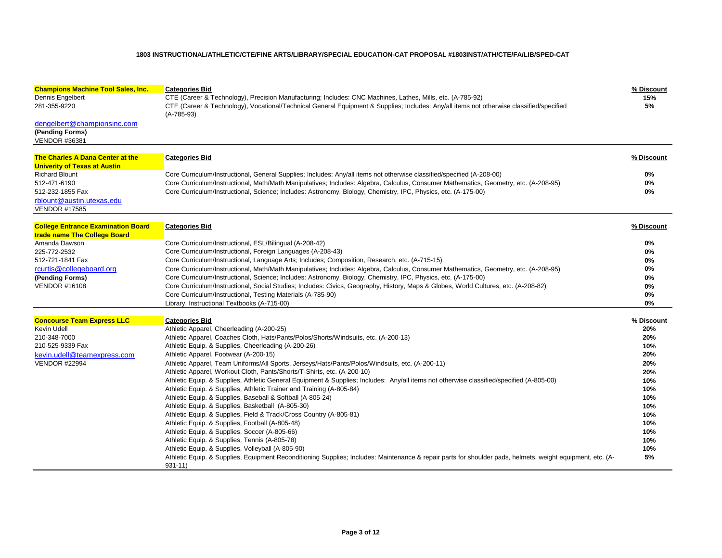| <b>Champions Machine Tool Sales, Inc.</b>                                                                                                   | <b>Categories Bid</b>                                                                                                                                                                                                                                                                                                                                                                                                                                                                                                                                                                                                                                                                                                                                                                                                                                                                                                                                                                                                                                                                                                                                                                                                                      | % Discount                                                                                                                |
|---------------------------------------------------------------------------------------------------------------------------------------------|--------------------------------------------------------------------------------------------------------------------------------------------------------------------------------------------------------------------------------------------------------------------------------------------------------------------------------------------------------------------------------------------------------------------------------------------------------------------------------------------------------------------------------------------------------------------------------------------------------------------------------------------------------------------------------------------------------------------------------------------------------------------------------------------------------------------------------------------------------------------------------------------------------------------------------------------------------------------------------------------------------------------------------------------------------------------------------------------------------------------------------------------------------------------------------------------------------------------------------------------|---------------------------------------------------------------------------------------------------------------------------|
| Dennis Engelbert<br>281-355-9220                                                                                                            | CTE (Career & Technology), Precision Manufacturing; Includes: CNC Machines, Lathes, Mills, etc. (A-785-92)<br>CTE (Career & Technology), Vocational/Technical General Equipment & Supplies; Includes: Any/all items not otherwise classified/specified<br>$(A-785-93)$                                                                                                                                                                                                                                                                                                                                                                                                                                                                                                                                                                                                                                                                                                                                                                                                                                                                                                                                                                     | 15%<br>5%                                                                                                                 |
| dengelbert@championsinc.com<br>(Pending Forms)<br><b>VENDOR #36381</b>                                                                      |                                                                                                                                                                                                                                                                                                                                                                                                                                                                                                                                                                                                                                                                                                                                                                                                                                                                                                                                                                                                                                                                                                                                                                                                                                            |                                                                                                                           |
| The Charles A Dana Center at the<br><b>Univerity of Texas at Austin</b>                                                                     | <b>Categories Bid</b>                                                                                                                                                                                                                                                                                                                                                                                                                                                                                                                                                                                                                                                                                                                                                                                                                                                                                                                                                                                                                                                                                                                                                                                                                      | % Discount                                                                                                                |
| <b>Richard Blount</b><br>512-471-6190<br>512-232-1855 Fax<br>rblount@austin.utexas.edu<br><b>VENDOR #17585</b>                              | Core Curriculum/Instructional, General Supplies; Includes: Any/all items not otherwise classified/specified (A-208-00)<br>Core Curriculum/Instructional, Math/Math Manipulatives; Includes: Algebra, Calculus, Consumer Mathematics, Geometry, etc. (A-208-95)<br>Core Curriculum/Instructional, Science; Includes: Astronomy, Biology, Chemistry, IPC, Physics, etc. (A-175-00)                                                                                                                                                                                                                                                                                                                                                                                                                                                                                                                                                                                                                                                                                                                                                                                                                                                           | $0\%$<br>$0\%$<br>0%                                                                                                      |
| <b>College Entrance Examination Board</b><br>trade name The College Board                                                                   | <b>Categories Bid</b>                                                                                                                                                                                                                                                                                                                                                                                                                                                                                                                                                                                                                                                                                                                                                                                                                                                                                                                                                                                                                                                                                                                                                                                                                      | % Discount                                                                                                                |
| Amanda Dawson<br>225-772-2532<br>512-721-1841 Fax<br>rcurtis@collegeboard.org<br>(Pending Forms)<br><b>VENDOR #16108</b>                    | Core Curriculum/Instructional, ESL/Bilingual (A-208-42)<br>Core Curriculum/Instructional, Foreign Languages (A-208-43)<br>Core Curriculum/Instructional, Language Arts; Includes; Composition, Research, etc. (A-715-15)<br>Core Curriculum/Instructional, Math/Math Manipulatives; Includes: Algebra, Calculus, Consumer Mathematics, Geometry, etc. (A-208-95)<br>Core Curriculum/Instructional, Science; Includes: Astronomy, Biology, Chemistry, IPC, Physics, etc. (A-175-00)<br>Core Curriculum/Instructional, Social Studies; Includes: Civics, Geography, History, Maps & Globes, World Cultures, etc. (A-208-82)<br>Core Curriculum/Instructional, Testing Materials (A-785-90)<br>Library, Instructional Textbooks (A-715-00)                                                                                                                                                                                                                                                                                                                                                                                                                                                                                                    | $0\%$<br>$0\%$<br>0%<br>0%<br>0%<br>0%<br>0%<br>$0\%$                                                                     |
| <b>Concourse Team Express LLC</b><br>Kevin Udell<br>210-348-7000<br>210-525-9339 Fax<br>kevin.udell@teamexpress.com<br><b>VENDOR #22994</b> | <b>Categories Bid</b><br>Athletic Apparel, Cheerleading (A-200-25)<br>Athletic Apparel, Coaches Cloth, Hats/Pants/Polos/Shorts/Windsuits, etc. (A-200-13)<br>Athletic Equip. & Supplies, Cheerleading (A-200-26)<br>Athletic Apparel, Footwear (A-200-15)<br>Athletic Apparel, Team Uniforms/All Sports, Jerseys/Hats/Pants/Polos/Windsuits, etc. (A-200-11)<br>Athletic Apparel, Workout Cloth, Pants/Shorts/T-Shirts, etc. (A-200-10)<br>Athletic Equip. & Supplies, Athletic General Equipment & Supplies; Includes: Any/all items not otherwise classified/specified (A-805-00)<br>Athletic Equip. & Supplies, Athletic Trainer and Training (A-805-84)<br>Athletic Equip. & Supplies, Baseball & Softball (A-805-24)<br>Athletic Equip. & Supplies, Basketball (A-805-30)<br>Athletic Equip. & Supplies, Field & Track/Cross Country (A-805-81)<br>Athletic Equip. & Supplies, Football (A-805-48)<br>Athletic Equip. & Supplies, Soccer (A-805-66)<br>Athletic Equip. & Supplies, Tennis (A-805-78)<br>Athletic Equip. & Supplies, Volleyball (A-805-90)<br>Athletic Equip. & Supplies, Equipment Reconditioning Supplies; Includes: Maintenance & repair parts for shoulder pads, helmets, weight equipment, etc. (A-<br>$931 - 11$ | % Discount<br>20%<br>20%<br>10%<br>20%<br>20%<br>20%<br>10%<br>10%<br>10%<br>10%<br>10%<br>10%<br>10%<br>10%<br>10%<br>5% |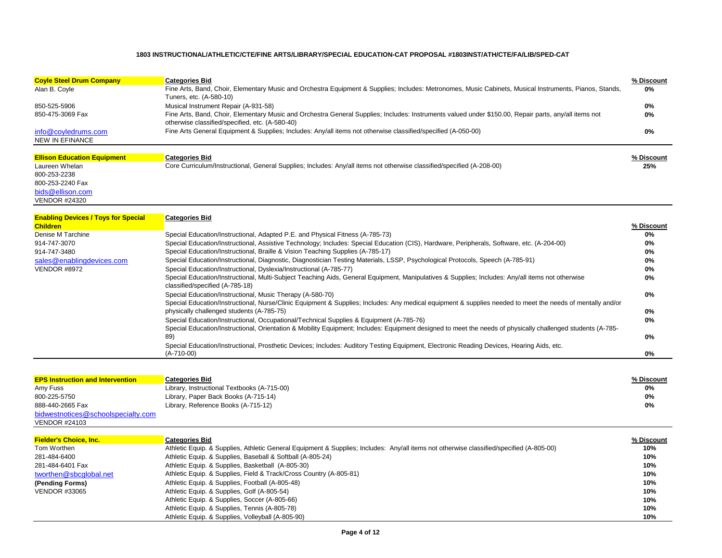| <b>Coyle Steel Drum Company</b>    | <b>Categories Bid</b>                                                                                                                                                                                    | % Discount |
|------------------------------------|----------------------------------------------------------------------------------------------------------------------------------------------------------------------------------------------------------|------------|
| Alan B. Coyle                      | Fine Arts, Band, Choir, Elementary Music and Orchestra Equipment & Supplies; Includes: Metronomes, Music Cabinets, Musical Instruments, Pianos, Stands,<br>Tuners, etc. (A-580-10)                       | 0%         |
| 850-525-5906                       | Musical Instrument Repair (A-931-58)                                                                                                                                                                     | 0%         |
| 850-475-3069 Fax                   | Fine Arts, Band, Choir, Elementary Music and Orchestra General Supplies; Includes: Instruments valued under \$150.00, Repair parts, any/all items not<br>otherwise classified/specified, etc. (A-580-40) | 0%         |
| info@covledrums.com                | Fine Arts General Equipment & Supplies; Includes: Any/all items not otherwise classified/specified (A-050-00)                                                                                            | 0%         |
| NEW IN EFINANCE                    |                                                                                                                                                                                                          |            |
| <b>Ellison Education Equipment</b> | <b>Categories Bid</b>                                                                                                                                                                                    | % Discount |
| Laureen Whelan                     | Core Curriculum/Instructional, General Supplies; Includes: Any/all items not otherwise classified/specified (A-208-00)                                                                                   | 25%        |
| 800-253-2238                       |                                                                                                                                                                                                          |            |
| 800-253-2240 Fax                   |                                                                                                                                                                                                          |            |
| bids@ellison.com                   |                                                                                                                                                                                                          |            |
| <b>VENDOR #24320</b>               |                                                                                                                                                                                                          |            |

| <b>Enabling Devices / Toys for Special</b> | <b>Categories Bid</b>                                                                                                                                                                                   |            |
|--------------------------------------------|---------------------------------------------------------------------------------------------------------------------------------------------------------------------------------------------------------|------------|
| <b>Children</b>                            |                                                                                                                                                                                                         | % Discount |
| Denise M Tarchine                          | Special Education/Instructional, Adapted P.E. and Physical Fitness (A-785-73)                                                                                                                           | 0%         |
| 914-747-3070                               | Special Education/Instructional, Assistive Technology; Includes: Special Education (CIS), Hardware, Peripherals, Software, etc. (A-204-00)                                                              | 0%         |
| 914-747-3480                               | Special Education/Instructional, Braille & Vision Teaching Supplies (A-785-17)                                                                                                                          | 0%         |
| sales@enablingdevices.com                  | Special Education/Instructional, Diagnostic, Diagnostician Testing Materials, LSSP, Psychological Protocols, Speech (A-785-91)                                                                          | 0%         |
| <b>VENDOR #8972</b>                        | Special Education/Instructional, Dyslexia/Instructional (A-785-77)                                                                                                                                      | 0%         |
|                                            | Special Education/Instructional, Multi-Subject Teaching Aids, General Equipment, Manipulatives & Supplies; Includes: Any/all items not otherwise<br>classified/specified (A-785-18)                     | 0%         |
|                                            | Special Education/Instructional, Music Therapy (A-580-70)                                                                                                                                               | 0%         |
|                                            | Special Education/Instructional, Nurse/Clinic Equipment & Supplies; Includes: Any medical equipment & supplies needed to meet the needs of mentally and/or<br>physically challenged students (A-785-75) | 0%         |
|                                            | Special Education/Instructional, Occupational/Technical Supplies & Equipment (A-785-76)                                                                                                                 | 0%         |
|                                            | Special Education/Instructional, Orientation & Mobility Equipment; Includes: Equipment designed to meet the needs of physically challenged students (A-785-<br>89)                                      | 0%         |
|                                            | Special Education/Instructional, Prosthetic Devices; Includes: Auditory Testing Equipment, Electronic Reading Devices, Hearing Aids, etc.<br>$(A-710-00)$                                               | 0%         |

| <b>EPS Instruction and Intervention</b> | Categories Bid                              | % Discount |
|-----------------------------------------|---------------------------------------------|------------|
| Amy Fuss                                | Library, Instructional Textbooks (A-715-00) | 0%         |
| 800-225-5750                            | Library, Paper Back Books (A-715-14)        | 0%         |
| 888-440-2665 Fax                        | Library, Reference Books (A-715-12)         | 0%         |
| bidwestnotices@schoolspecialty.com      |                                             |            |

| <b>VENDOR #24103</b> |  |
|----------------------|--|
|                      |  |

| <b>Fielder's Choice, Inc.</b> | <b>Categories Bid</b>                                                                                                                    | % Discount |
|-------------------------------|------------------------------------------------------------------------------------------------------------------------------------------|------------|
| Tom Worthen                   | Athletic Equip. & Supplies, Athletic General Equipment & Supplies; Includes: Any/all items not otherwise classified/specified (A-805-00) | 10%        |
| 281-484-6400                  | Athletic Equip. & Supplies, Baseball & Softball (A-805-24)                                                                               | 10%        |
| 281-484-6401 Fax              | Athletic Equip. & Supplies, Basketball (A-805-30)                                                                                        | 10%        |
| tworthen@sbcglobal.net        | Athletic Equip. & Supplies, Field & Track/Cross Country (A-805-81)                                                                       | 10%        |
| (Pending Forms)               | Athletic Equip. & Supplies, Football (A-805-48)                                                                                          | 10%        |
| <b>VENDOR #33065</b>          | Athletic Equip. & Supplies, Golf (A-805-54)                                                                                              | 10%        |
|                               | Athletic Equip. & Supplies, Soccer (A-805-66)                                                                                            | 10%        |
|                               | Athletic Equip. & Supplies, Tennis (A-805-78)                                                                                            | 10%        |
|                               | Athletic Equip. & Supplies, Volleyball (A-805-90)                                                                                        | 10%        |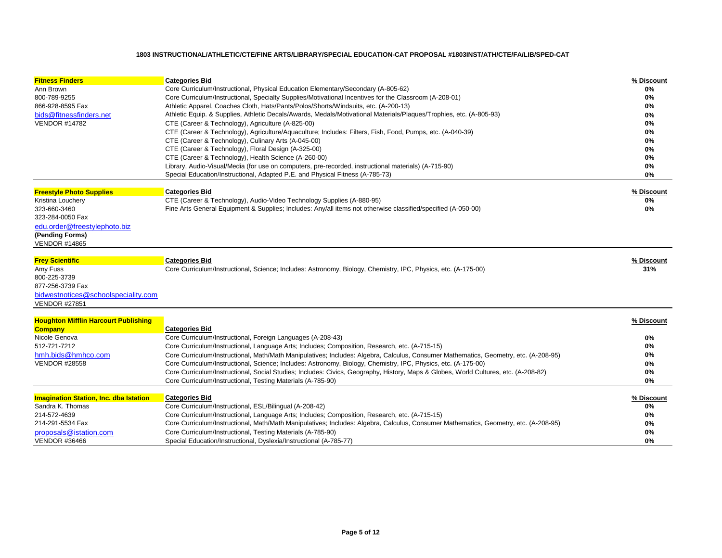| <b>Fitness Finders</b>                        | <b>Categories Bid</b>                                                                                                                | % Discount |
|-----------------------------------------------|--------------------------------------------------------------------------------------------------------------------------------------|------------|
| Ann Brown                                     | Core Curriculum/Instructional, Physical Education Elementary/Secondary (A-805-62)                                                    | 0%         |
| 800-789-9255                                  | Core Curriculum/Instructional, Specialty Supplies/Motivational Incentives for the Classroom (A-208-01)                               | 0%         |
| 866-928-8595 Fax                              | Athletic Apparel, Coaches Cloth, Hats/Pants/Polos/Shorts/Windsuits, etc. (A-200-13)                                                  | 0%         |
| bids@fitnessfinders.net                       | Athletic Equip. & Supplies, Athletic Decals/Awards, Medals/Motivational Materials/Plaques/Trophies, etc. (A-805-93)                  | 0%         |
| <b>VENDOR #14782</b>                          | CTE (Career & Technology), Agriculture (A-825-00)                                                                                    | 0%         |
|                                               | CTE (Career & Technology), Agriculture/Aquaculture; Includes: Filters, Fish, Food, Pumps, etc. (A-040-39)                            | 0%         |
|                                               | CTE (Career & Technology), Culinary Arts (A-045-00)                                                                                  | 0%         |
|                                               | CTE (Career & Technology), Floral Design (A-325-00)                                                                                  | 0%         |
|                                               | CTE (Career & Technology), Health Science (A-260-00)                                                                                 | 0%         |
|                                               | Library, Audio-Visual/Media (for use on computers, pre-recorded, instructional materials) (A-715-90)                                 | 0%         |
|                                               | Special Education/Instructional, Adapted P.E. and Physical Fitness (A-785-73)                                                        | 0%         |
|                                               |                                                                                                                                      |            |
| <b>Freestyle Photo Supplies</b>               | <b>Categories Bid</b>                                                                                                                | % Discount |
| Kristina Louchery<br>323-660-3460             | CTE (Career & Technology), Audio-Video Technology Supplies (A-880-95)                                                                | 0%<br>0%   |
| 323-284-0050 Fax                              | Fine Arts General Equipment & Supplies; Includes: Any/all items not otherwise classified/specified (A-050-00)                        |            |
|                                               |                                                                                                                                      |            |
| edu.order@freestylephoto.biz                  |                                                                                                                                      |            |
| (Pending Forms)<br><b>VENDOR #14865</b>       |                                                                                                                                      |            |
|                                               |                                                                                                                                      |            |
| <b>Frey Scientific</b>                        | <b>Categories Bid</b>                                                                                                                | % Discount |
| Amy Fuss                                      | Core Curriculum/Instructional, Science; Includes: Astronomy, Biology, Chemistry, IPC, Physics, etc. (A-175-00)                       | 31%        |
| 800-225-3739                                  |                                                                                                                                      |            |
| 877-256-3739 Fax                              |                                                                                                                                      |            |
| bidwestnotices@schoolspeciality.com           |                                                                                                                                      |            |
| <b>VENDOR #27851</b>                          |                                                                                                                                      |            |
| <b>Houghton Mifflin Harcourt Publishing</b>   |                                                                                                                                      | % Discount |
| <b>Company</b>                                | <b>Categories Bid</b>                                                                                                                |            |
| Nicole Genova                                 | Core Curriculum/Instructional, Foreign Languages (A-208-43)                                                                          | 0%         |
| 512-721-7212                                  | Core Curriculum/Instructional, Language Arts; Includes; Composition, Research, etc. (A-715-15)                                       | 0%         |
| hmh.bids@hmhco.com                            | Core Curriculum/Instructional, Math/Math Manipulatives; Includes: Algebra, Calculus, Consumer Mathematics, Geometry, etc. (A-208-95) | 0%         |
| <b>VENDOR #28558</b>                          | Core Curriculum/Instructional, Science; Includes: Astronomy, Biology, Chemistry, IPC, Physics, etc. (A-175-00)                       | 0%         |
|                                               | Core Curriculum/Instructional, Social Studies; Includes: Civics, Geography, History, Maps & Globes, World Cultures, etc. (A-208-82)  | 0%         |
|                                               | Core Curriculum/Instructional, Testing Materials (A-785-90)                                                                          | 0%         |
|                                               |                                                                                                                                      |            |
| <b>Imagination Station, Inc. dba Istation</b> | <b>Categories Bid</b>                                                                                                                | % Discount |
| Sandra K. Thomas                              | Core Curriculum/Instructional, ESL/Bilingual (A-208-42)                                                                              | 0%         |
| 214-572-4639                                  | Core Curriculum/Instructional, Language Arts; Includes; Composition, Research, etc. (A-715-15)                                       | 0%         |
| 214-291-5534 Fax                              | Core Curriculum/Instructional, Math/Math Manipulatives; Includes: Algebra, Calculus, Consumer Mathematics, Geometry, etc. (A-208-95) | 0%         |
| proposals@istation.com                        | Core Curriculum/Instructional, Testing Materials (A-785-90)                                                                          | 0%         |
| <b>VENDOR #36466</b>                          | Special Education/Instructional, Dyslexia/Instructional (A-785-77)                                                                   | 0%         |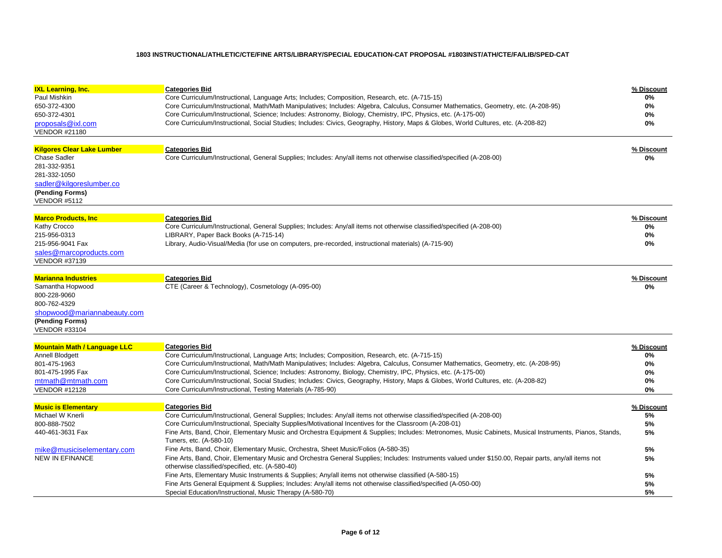| <b>IXL Learning, Inc.</b><br>Paul Mishkin<br>650-372-4300<br>650-372-4301<br>proposals@ixl.com<br><b>VENDOR #21180</b>                                         | <b>Categories Bid</b><br>Core Curriculum/Instructional, Language Arts; Includes; Composition, Research, etc. (A-715-15)<br>Core Curriculum/Instructional, Math/Math Manipulatives; Includes: Algebra, Calculus, Consumer Mathematics, Geometry, etc. (A-208-95)<br>Core Curriculum/Instructional, Science; Includes: Astronomy, Biology, Chemistry, IPC, Physics, etc. (A-175-00)<br>Core Curriculum/Instructional, Social Studies; Includes: Civics, Geography, History, Maps & Globes, World Cultures, etc. (A-208-82)                                                                                                                                                                                                                                                                                                                                                                                                                                                                                                                 | % Discount<br>0%<br>0%<br>0%<br>0%                         |
|----------------------------------------------------------------------------------------------------------------------------------------------------------------|------------------------------------------------------------------------------------------------------------------------------------------------------------------------------------------------------------------------------------------------------------------------------------------------------------------------------------------------------------------------------------------------------------------------------------------------------------------------------------------------------------------------------------------------------------------------------------------------------------------------------------------------------------------------------------------------------------------------------------------------------------------------------------------------------------------------------------------------------------------------------------------------------------------------------------------------------------------------------------------------------------------------------------------|------------------------------------------------------------|
| <b>Kilgores Clear Lake Lumber</b><br><b>Chase Sadler</b><br>281-332-9351<br>281-332-1050<br>sadler@kilgoreslumber.co<br>(Pending Forms)<br><b>VENDOR #5112</b> | <b>Categories Bid</b><br>Core Curriculum/Instructional, General Supplies; Includes: Any/all items not otherwise classified/specified (A-208-00)                                                                                                                                                                                                                                                                                                                                                                                                                                                                                                                                                                                                                                                                                                                                                                                                                                                                                          | % Discount<br>0%                                           |
| <b>Marco Products, Inc.</b><br>Kathy Crocco<br>215-956-0313<br>215-956-9041 Fax<br>sales@marcoproducts.com<br><b>VENDOR #37139</b>                             | <b>Categories Bid</b><br>Core Curriculum/Instructional, General Supplies; Includes: Any/all items not otherwise classified/specified (A-208-00)<br>LIBRARY, Paper Back Books (A-715-14)<br>Library, Audio-Visual/Media (for use on computers, pre-recorded, instructional materials) (A-715-90)                                                                                                                                                                                                                                                                                                                                                                                                                                                                                                                                                                                                                                                                                                                                          | % Discount<br>0%<br>0%<br>0%                               |
| <b>Marianna Industries</b><br>Samantha Hopwood<br>800-228-9060<br>800-762-4329<br>shopwood@mariannabeauty.com<br>(Pending Forms)<br><b>VENDOR #33104</b>       | <b>Categories Bid</b><br>CTE (Career & Technology), Cosmetology (A-095-00)                                                                                                                                                                                                                                                                                                                                                                                                                                                                                                                                                                                                                                                                                                                                                                                                                                                                                                                                                               | % Discount<br>0%                                           |
| <b>Mountain Math / Language LLC</b><br>Annell Blodgett<br>801-475-1963<br>801-475-1995 Fax<br>mtmath@mtmath.com<br><b>VENDOR #12128</b>                        | <b>Categories Bid</b><br>Core Curriculum/Instructional, Language Arts; Includes; Composition, Research, etc. (A-715-15)<br>Core Curriculum/Instructional, Math/Math Manipulatives; Includes: Algebra, Calculus, Consumer Mathematics, Geometry, etc. (A-208-95)<br>Core Curriculum/Instructional, Science; Includes: Astronomy, Biology, Chemistry, IPC, Physics, etc. (A-175-00)<br>Core Curriculum/Instructional, Social Studies; Includes: Civics, Geography, History, Maps & Globes, World Cultures, etc. (A-208-82)<br>Core Curriculum/Instructional, Testing Materials (A-785-90)                                                                                                                                                                                                                                                                                                                                                                                                                                                  | % Discount<br>0%<br>0%<br>0%<br>0%<br>0%                   |
| <b>Music is Elementary</b><br>Michael W Knerli<br>800-888-7502<br>440-461-3631 Fax<br>mike@musiciselementary.com<br><b>NEW IN EFINANCE</b>                     | <b>Categories Bid</b><br>Core Curriculum/Instructional, General Supplies; Includes: Any/all items not otherwise classified/specified (A-208-00)<br>Core Curriculum/Instructional, Specialty Supplies/Motivational Incentives for the Classroom (A-208-01)<br>Fine Arts, Band, Choir, Elementary Music and Orchestra Equipment & Supplies; Includes: Metronomes, Music Cabinets, Musical Instruments, Pianos, Stands,<br>Tuners, etc. (A-580-10)<br>Fine Arts, Band, Choir, Elementary Music, Orchestra, Sheet Music/Folios (A-580-35)<br>Fine Arts, Band, Choir, Elementary Music and Orchestra General Supplies; Includes: Instruments valued under \$150.00, Repair parts, any/all items not<br>otherwise classified/specified, etc. (A-580-40)<br>Fine Arts, Elementary Music Instruments & Supplies; Any/all items not otherwise classified (A-580-15)<br>Fine Arts General Equipment & Supplies; Includes: Any/all items not otherwise classified/specified (A-050-00)<br>Special Education/Instructional, Music Therapy (A-580-70) | % Discount<br>5%<br>5%<br>5%<br>5%<br>5%<br>5%<br>5%<br>5% |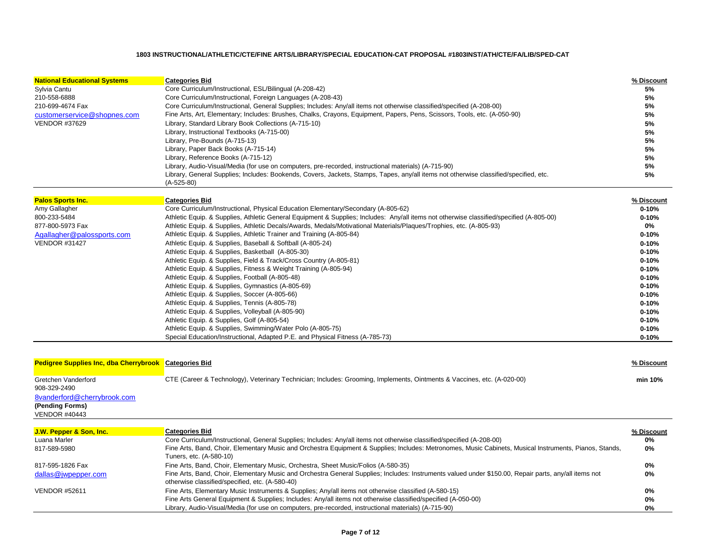| <b>National Educational Systems</b><br>Sylvia Cantu<br>210-558-6888<br>210-699-4674 Fax<br>customerservice@shopnes.com<br><b>VENDOR #37629</b> | <b>Categories Bid</b><br>Core Curriculum/Instructional, ESL/Bilingual (A-208-42)<br>Core Curriculum/Instructional, Foreign Languages (A-208-43)<br>Core Curriculum/Instructional, General Supplies; Includes: Any/all items not otherwise classified/specified (A-208-00)<br>Fine Arts, Art, Elementary; Includes: Brushes, Chalks, Crayons, Equipment, Papers, Pens, Scissors, Tools, etc. (A-050-90)<br>Library, Standard Library Book Collections (A-715-10)<br>Library, Instructional Textbooks (A-715-00)<br>Library, Pre-Bounds (A-715-13)<br>Library, Paper Back Books (A-715-14)<br>Library, Reference Books (A-715-12)<br>Library, Audio-Visual/Media (for use on computers, pre-recorded, instructional materials) (A-715-90)<br>Library, General Supplies; Includes: Bookends, Covers, Jackets, Stamps, Tapes, any/all items not otherwise classified/specified, etc.<br>$(A-525-80)$ | % Discount<br>5%<br>5%<br>5%<br>5%<br>5%<br>5%<br>5%<br>5%<br>5%<br>5%<br>5% |
|------------------------------------------------------------------------------------------------------------------------------------------------|--------------------------------------------------------------------------------------------------------------------------------------------------------------------------------------------------------------------------------------------------------------------------------------------------------------------------------------------------------------------------------------------------------------------------------------------------------------------------------------------------------------------------------------------------------------------------------------------------------------------------------------------------------------------------------------------------------------------------------------------------------------------------------------------------------------------------------------------------------------------------------------------------|------------------------------------------------------------------------------|
|                                                                                                                                                |                                                                                                                                                                                                                                                                                                                                                                                                                                                                                                                                                                                                                                                                                                                                                                                                                                                                                                  |                                                                              |
| <b>Palos Sports Inc.</b>                                                                                                                       | <b>Categories Bid</b>                                                                                                                                                                                                                                                                                                                                                                                                                                                                                                                                                                                                                                                                                                                                                                                                                                                                            | % Discount                                                                   |
| Amy Gallagher                                                                                                                                  | Core Curriculum/Instructional, Physical Education Elementary/Secondary (A-805-62)                                                                                                                                                                                                                                                                                                                                                                                                                                                                                                                                                                                                                                                                                                                                                                                                                | $0 - 10%$                                                                    |
| 800-233-5484                                                                                                                                   | Athletic Equip. & Supplies, Athletic General Equipment & Supplies; Includes: Any/all items not otherwise classified/specified (A-805-00)                                                                                                                                                                                                                                                                                                                                                                                                                                                                                                                                                                                                                                                                                                                                                         | $0 - 10%$                                                                    |
| 877-800-5973 Fax                                                                                                                               | Athletic Equip. & Supplies, Athletic Decals/Awards, Medals/Motivational Materials/Plaques/Trophies, etc. (A-805-93)                                                                                                                                                                                                                                                                                                                                                                                                                                                                                                                                                                                                                                                                                                                                                                              | 0%                                                                           |
| Agallagher@palossports.com                                                                                                                     | Athletic Equip. & Supplies, Athletic Trainer and Training (A-805-84)                                                                                                                                                                                                                                                                                                                                                                                                                                                                                                                                                                                                                                                                                                                                                                                                                             | $0 - 10%$                                                                    |
| <b>VENDOR #31427</b>                                                                                                                           | Athletic Equip. & Supplies, Baseball & Softball (A-805-24)                                                                                                                                                                                                                                                                                                                                                                                                                                                                                                                                                                                                                                                                                                                                                                                                                                       | $0 - 10%$                                                                    |
|                                                                                                                                                | Athletic Equip. & Supplies, Basketball (A-805-30)                                                                                                                                                                                                                                                                                                                                                                                                                                                                                                                                                                                                                                                                                                                                                                                                                                                | $0 - 10%$                                                                    |
|                                                                                                                                                | Athletic Equip. & Supplies, Field & Track/Cross Country (A-805-81)                                                                                                                                                                                                                                                                                                                                                                                                                                                                                                                                                                                                                                                                                                                                                                                                                               | $0 - 10%$                                                                    |
|                                                                                                                                                | Athletic Equip. & Supplies, Fitness & Weight Training (A-805-94)                                                                                                                                                                                                                                                                                                                                                                                                                                                                                                                                                                                                                                                                                                                                                                                                                                 | $0 - 10%$                                                                    |
|                                                                                                                                                | Athletic Equip. & Supplies, Football (A-805-48)                                                                                                                                                                                                                                                                                                                                                                                                                                                                                                                                                                                                                                                                                                                                                                                                                                                  | $0 - 10%$                                                                    |
|                                                                                                                                                | Athletic Equip. & Supplies, Gymnastics (A-805-69)                                                                                                                                                                                                                                                                                                                                                                                                                                                                                                                                                                                                                                                                                                                                                                                                                                                | $0 - 10%$                                                                    |
|                                                                                                                                                | Athletic Equip. & Supplies, Soccer (A-805-66)                                                                                                                                                                                                                                                                                                                                                                                                                                                                                                                                                                                                                                                                                                                                                                                                                                                    | $0 - 10%$                                                                    |
|                                                                                                                                                | Athletic Equip. & Supplies, Tennis (A-805-78)                                                                                                                                                                                                                                                                                                                                                                                                                                                                                                                                                                                                                                                                                                                                                                                                                                                    | $0 - 10%$                                                                    |
|                                                                                                                                                | Athletic Equip. & Supplies, Volleyball (A-805-90)                                                                                                                                                                                                                                                                                                                                                                                                                                                                                                                                                                                                                                                                                                                                                                                                                                                | $0 - 10%$                                                                    |
|                                                                                                                                                | Athletic Equip. & Supplies, Golf (A-805-54)                                                                                                                                                                                                                                                                                                                                                                                                                                                                                                                                                                                                                                                                                                                                                                                                                                                      | $0 - 10%$                                                                    |
|                                                                                                                                                | Athletic Equip. & Supplies, Swimming/Water Polo (A-805-75)                                                                                                                                                                                                                                                                                                                                                                                                                                                                                                                                                                                                                                                                                                                                                                                                                                       | $0 - 10%$                                                                    |
|                                                                                                                                                | Special Education/Instructional, Adapted P.E. and Physical Fitness (A-785-73)                                                                                                                                                                                                                                                                                                                                                                                                                                                                                                                                                                                                                                                                                                                                                                                                                    | $0 - 10%$                                                                    |
| Pedigree Supplies Inc, dba Cherrybrook Categories Bid                                                                                          |                                                                                                                                                                                                                                                                                                                                                                                                                                                                                                                                                                                                                                                                                                                                                                                                                                                                                                  | % Discount                                                                   |
| Gretchen Vanderford<br>908-329-2490                                                                                                            | CTE (Career & Technology), Veterinary Technician; Includes: Grooming, Implements, Ointments & Vaccines, etc. (A-020-00)                                                                                                                                                                                                                                                                                                                                                                                                                                                                                                                                                                                                                                                                                                                                                                          | min 10%                                                                      |
| 8vanderford@cherrybrook.com                                                                                                                    |                                                                                                                                                                                                                                                                                                                                                                                                                                                                                                                                                                                                                                                                                                                                                                                                                                                                                                  |                                                                              |
| (Pending Forms)<br><b>VENDOR #40443</b>                                                                                                        |                                                                                                                                                                                                                                                                                                                                                                                                                                                                                                                                                                                                                                                                                                                                                                                                                                                                                                  |                                                                              |
| J.W. Pepper & Son, Inc.                                                                                                                        | <b>Categories Bid</b>                                                                                                                                                                                                                                                                                                                                                                                                                                                                                                                                                                                                                                                                                                                                                                                                                                                                            | % Discount                                                                   |
| Luana Marler                                                                                                                                   | Core Curriculum/Instructional, General Supplies; Includes: Any/all items not otherwise classified/specified (A-208-00)                                                                                                                                                                                                                                                                                                                                                                                                                                                                                                                                                                                                                                                                                                                                                                           | 0%                                                                           |
| 817-589-5980                                                                                                                                   | Fine Arts, Band, Choir, Elementary Music and Orchestra Equipment & Supplies; Includes: Metronomes, Music Cabinets, Musical Instruments, Pianos, Stands,<br>Tuners, etc. (A-580-10)                                                                                                                                                                                                                                                                                                                                                                                                                                                                                                                                                                                                                                                                                                               | 0%                                                                           |
| 817-595-1826 Fax                                                                                                                               | Fine Arts, Band, Choir, Elementary Music, Orchestra, Sheet Music/Folios (A-580-35)                                                                                                                                                                                                                                                                                                                                                                                                                                                                                                                                                                                                                                                                                                                                                                                                               | 0%                                                                           |
| dallas@jwpepper.com                                                                                                                            | Fine Arts, Band, Choir, Elementary Music and Orchestra General Supplies; Includes: Instruments valued under \$150.00, Repair parts, any/all items not<br>otherwise classified/specified, etc. (A-580-40)                                                                                                                                                                                                                                                                                                                                                                                                                                                                                                                                                                                                                                                                                         | 0%                                                                           |
| <b>VENDOR #52611</b>                                                                                                                           | Fine Arts, Elementary Music Instruments & Supplies; Any/all items not otherwise classified (A-580-15)                                                                                                                                                                                                                                                                                                                                                                                                                                                                                                                                                                                                                                                                                                                                                                                            | 0%                                                                           |
|                                                                                                                                                | Fine Arts General Equipment & Supplies; Includes: Any/all items not otherwise classified/specified (A-050-00)                                                                                                                                                                                                                                                                                                                                                                                                                                                                                                                                                                                                                                                                                                                                                                                    | 0%                                                                           |
|                                                                                                                                                | Library, Audio-Visual/Media (for use on computers, pre-recorded, instructional materials) (A-715-90)                                                                                                                                                                                                                                                                                                                                                                                                                                                                                                                                                                                                                                                                                                                                                                                             | 0%                                                                           |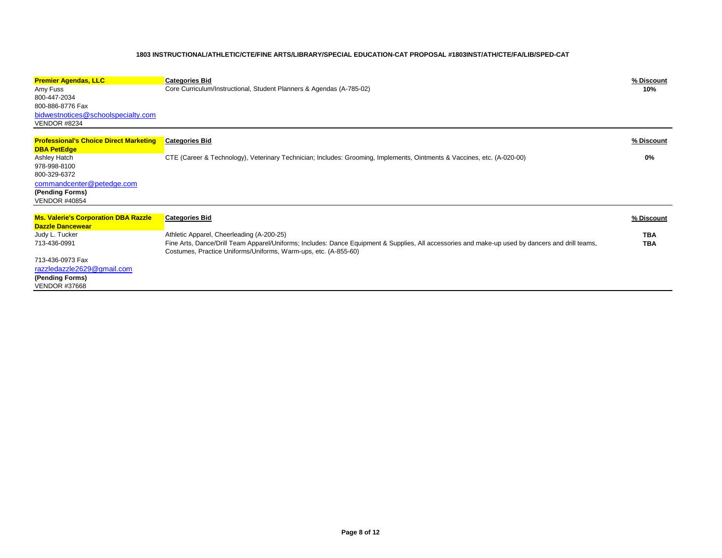| <b>Premier Agendas, LLC</b>                                         | <b>Categories Bid</b>                                                                                                                                                                                               | % Discount |
|---------------------------------------------------------------------|---------------------------------------------------------------------------------------------------------------------------------------------------------------------------------------------------------------------|------------|
| Amy Fuss<br>800-447-2034                                            | Core Curriculum/Instructional, Student Planners & Agendas (A-785-02)                                                                                                                                                | 10%        |
| 800-886-8776 Fax                                                    |                                                                                                                                                                                                                     |            |
| bidwestnotices@schoolspecialty.com                                  |                                                                                                                                                                                                                     |            |
| <b>VENDOR #8234</b>                                                 |                                                                                                                                                                                                                     |            |
|                                                                     |                                                                                                                                                                                                                     |            |
| <b>Professional's Choice Direct Marketing</b><br><b>DBA PetEdge</b> | <b>Categories Bid</b>                                                                                                                                                                                               | % Discount |
| Ashley Hatch                                                        | CTE (Career & Technology), Veterinary Technician; Includes: Grooming, Implements, Ointments & Vaccines, etc. (A-020-00)                                                                                             | 0%         |
| 978-998-8100                                                        |                                                                                                                                                                                                                     |            |
| 800-329-6372                                                        |                                                                                                                                                                                                                     |            |
| commandcenter@petedge.com                                           |                                                                                                                                                                                                                     |            |
| (Pending Forms)                                                     |                                                                                                                                                                                                                     |            |
| <b>VENDOR #40854</b>                                                |                                                                                                                                                                                                                     |            |
| Ms. Valerie's Corporation DBA Razzle<br><b>Dazzle Dancewear</b>     | <b>Categories Bid</b>                                                                                                                                                                                               | % Discount |
| Judy L. Tucker                                                      | Athletic Apparel, Cheerleading (A-200-25)                                                                                                                                                                           | <b>TBA</b> |
| 713-436-0991                                                        | Fine Arts, Dance/Drill Team Apparel/Uniforms; Includes: Dance Equipment & Supplies, All accessories and make-up used by dancers and drill teams,<br>Costumes, Practice Uniforms/Uniforms, Warm-ups, etc. (A-855-60) | <b>TBA</b> |
| 713-436-0973 Fax                                                    |                                                                                                                                                                                                                     |            |
| razzledazzle2629@gmail.com                                          |                                                                                                                                                                                                                     |            |
| (Pending Forms)                                                     |                                                                                                                                                                                                                     |            |
| <b>VENDOR #37668</b>                                                |                                                                                                                                                                                                                     |            |
|                                                                     |                                                                                                                                                                                                                     |            |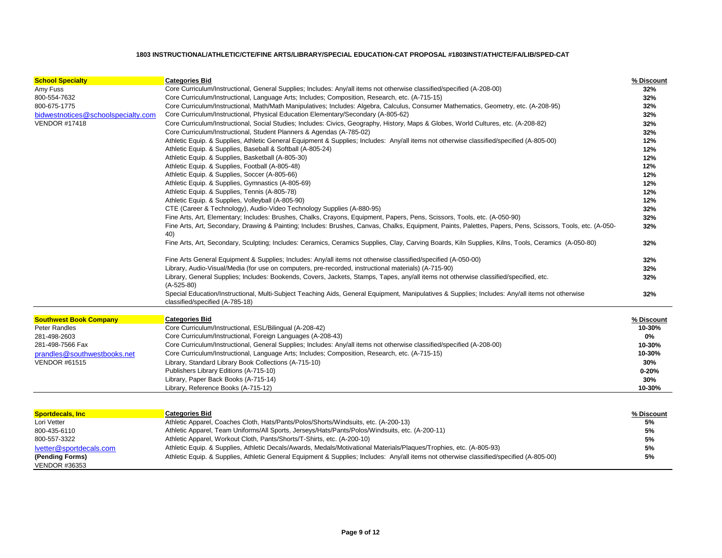| <b>School Specialty</b>            | <b>Categories Bid</b>                                                                                                                                                               | % Discount |
|------------------------------------|-------------------------------------------------------------------------------------------------------------------------------------------------------------------------------------|------------|
| Amy Fuss                           | Core Curriculum/Instructional, General Supplies; Includes: Any/all items not otherwise classified/specified (A-208-00)                                                              | 32%        |
| 800-554-7632                       | Core Curriculum/Instructional, Language Arts; Includes; Composition, Research, etc. (A-715-15)                                                                                      | 32%        |
| 800-675-1775                       | Core Curriculum/Instructional, Math/Math Manipulatives; Includes: Algebra, Calculus, Consumer Mathematics, Geometry, etc. (A-208-95)                                                | 32%        |
| bidwestnotices@schoolspecialty.com | Core Curriculum/Instructional, Physical Education Elementary/Secondary (A-805-62)                                                                                                   | 32%        |
| <b>VENDOR #17418</b>               | Core Curriculum/Instructional, Social Studies; Includes: Civics, Geography, History, Maps & Globes, World Cultures, etc. (A-208-82)                                                 | 32%        |
|                                    | Core Curriculum/Instructional, Student Planners & Agendas (A-785-02)                                                                                                                | 32%        |
|                                    | Athletic Equip. & Supplies, Athletic General Equipment & Supplies; Includes: Any/all items not otherwise classified/specified (A-805-00)                                            | 12%        |
|                                    | Athletic Equip. & Supplies, Baseball & Softball (A-805-24)                                                                                                                          | 12%        |
|                                    | Athletic Equip. & Supplies, Basketball (A-805-30)                                                                                                                                   | 12%        |
|                                    | Athletic Equip. & Supplies, Football (A-805-48)                                                                                                                                     | 12%        |
|                                    | Athletic Equip. & Supplies, Soccer (A-805-66)                                                                                                                                       | 12%        |
|                                    | Athletic Equip. & Supplies, Gymnastics (A-805-69)                                                                                                                                   | 12%        |
|                                    | Athletic Equip. & Supplies, Tennis (A-805-78)                                                                                                                                       | 12%        |
|                                    | Athletic Equip. & Supplies, Volleyball (A-805-90)                                                                                                                                   | 12%        |
|                                    | CTE (Career & Technology), Audio-Video Technology Supplies (A-880-95)                                                                                                               | 32%        |
|                                    | Fine Arts, Art, Elementary; Includes: Brushes, Chalks, Crayons, Equipment, Papers, Pens, Scissors, Tools, etc. (A-050-90)                                                           | 32%        |
|                                    | Fine Arts, Art, Secondary, Drawing & Painting; Includes: Brushes, Canvas, Chalks, Equipment, Paints, Palettes, Papers, Pens, Scissors, Tools, etc. (A-050-<br>40)                   | 32%        |
|                                    | Fine Arts, Art, Secondary, Sculpting; Includes: Ceramics, Ceramics Supplies, Clay, Carving Boards, Kiln Supplies, Kilns, Tools, Ceramics (A-050-80)                                 | 32%        |
|                                    | Fine Arts General Equipment & Supplies; Includes: Any/all items not otherwise classified/specified (A-050-00)                                                                       | 32%        |
|                                    | Library, Audio-Visual/Media (for use on computers, pre-recorded, instructional materials) (A-715-90)                                                                                | 32%        |
|                                    | Library, General Supplies; Includes: Bookends, Covers, Jackets, Stamps, Tapes, any/all items not otherwise classified/specified, etc.<br>$(A-525-80)$                               | 32%        |
|                                    | Special Education/Instructional, Multi-Subject Teaching Aids, General Equipment, Manipulatives & Supplies; Includes: Any/all items not otherwise<br>classified/specified (A-785-18) | 32%        |
| <b>Southwest Book Company</b>      | <b>Categories Bid</b>                                                                                                                                                               | % Discount |
| <b>Peter Randles</b>               | Core Curriculum/Instructional, ESL/Bilingual (A-208-42)                                                                                                                             | 10-30%     |
| 281-498-2603                       | Core Curriculum/Instructional, Foreign Languages (A-208-43)                                                                                                                         | 0%         |
| 281-498-7566 Fax                   | Core Curriculum/Instructional, General Supplies; Includes: Any/all items not otherwise classified/specified (A-208-00)                                                              | 10-30%     |
| prandles@southwestbooks.net        | Core Curriculum/Instructional, Language Arts; Includes; Composition, Research, etc. (A-715-15)                                                                                      | 10-30%     |
| <b>VENDOR #61515</b>               | Library, Standard Library Book Collections (A-715-10)                                                                                                                               | 30%        |
|                                    | Publishers Library Editions (A-715-10)                                                                                                                                              | $0 - 20%$  |
|                                    | Library, Paper Back Books (A-715-14)                                                                                                                                                | 30%        |
|                                    | Library, Reference Books (A-715-12)                                                                                                                                                 | 10-30%     |
|                                    |                                                                                                                                                                                     |            |
| <b>Sportdecals, Inc.</b>           | <b>Categories Bid</b>                                                                                                                                                               | % Discount |
| Lori Vetter                        | Athletic Apparel, Coaches Cloth, Hats/Pants/Polos/Shorts/Windsuits, etc. (A-200-13)                                                                                                 | 5%         |
| 800-435-6110                       | Athletic Apparel, Team Uniforms/All Sports, Jerseys/Hats/Pants/Polos/Windsuits, etc. (A-200-11)                                                                                     | 5%         |
| 800-557-3322                       | Athletic Apparel, Workout Cloth, Pants/Shorts/T-Shirts, etc. (A-200-10)                                                                                                             | 5%         |
| lvetter@sportdecals.com            | Athletic Equip. & Supplies, Athletic Decals/Awards, Medals/Motivational Materials/Plaques/Trophies, etc. (A-805-93)                                                                 | 5%         |

(Pending Forms)<br>VENDOR #36353

**(Pending Forms)** Athletic Equip. & Supplies, Athletic General Equipment & Supplies; Includes: Any/all items not otherwise classified/specified (A-805-00) **5%**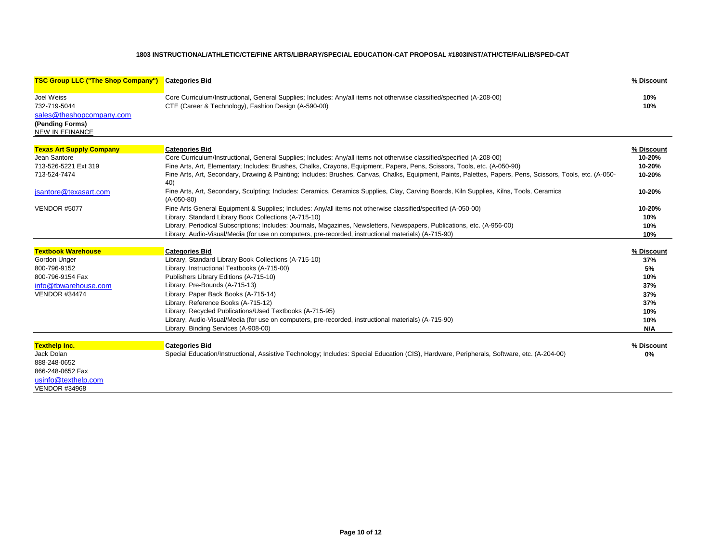| <b>TSC Group LLC ("The Shop Company")</b>                                 | <b>Categories Bid</b>                                                                                                                                                                                                                               | % Discount       |
|---------------------------------------------------------------------------|-----------------------------------------------------------------------------------------------------------------------------------------------------------------------------------------------------------------------------------------------------|------------------|
| Joel Weiss<br>732-719-5044<br>sales@theshopcompany.com<br>(Pending Forms) | Core Curriculum/Instructional, General Supplies; Includes: Any/all items not otherwise classified/specified (A-208-00)<br>CTE (Career & Technology), Fashion Design (A-590-00)                                                                      | 10%<br>10%       |
| <b>NEW IN EFINANCE</b>                                                    |                                                                                                                                                                                                                                                     |                  |
| <b>Texas Art Supply Company</b>                                           | <b>Categories Bid</b>                                                                                                                                                                                                                               | % Discount       |
| Jean Santore<br>713-526-5221 Ext 319                                      | Core Curriculum/Instructional, General Supplies; Includes: Any/all items not otherwise classified/specified (A-208-00)<br>Fine Arts, Art, Elementary; Includes: Brushes, Chalks, Crayons, Equipment, Papers, Pens, Scissors, Tools, etc. (A-050-90) | 10-20%<br>10-20% |
| 713-524-7474                                                              | Fine Arts, Art, Secondary, Drawing & Painting; Includes: Brushes, Canvas, Chalks, Equipment, Paints, Palettes, Papers, Pens, Scissors, Tools, etc. (A-050-<br>40)                                                                                   | 10-20%           |
| jsantore@texasart.com                                                     | Fine Arts, Art, Secondary, Sculpting; Includes: Ceramics, Ceramics Supplies, Clay, Carving Boards, Kiln Supplies, Kilns, Tools, Ceramics<br>$(A-050-80)$                                                                                            | 10-20%           |
| <b>VENDOR #5077</b>                                                       | Fine Arts General Equipment & Supplies; Includes: Any/all items not otherwise classified/specified (A-050-00)                                                                                                                                       | 10-20%           |
|                                                                           | Library, Standard Library Book Collections (A-715-10)                                                                                                                                                                                               | 10%              |
|                                                                           | Library, Periodical Subscriptions; Includes: Journals, Magazines, Newsletters, Newspapers, Publications, etc. (A-956-00)                                                                                                                            | 10%              |
|                                                                           | Library, Audio-Visual/Media (for use on computers, pre-recorded, instructional materials) (A-715-90)                                                                                                                                                | 10%              |
| <b>Textbook Warehouse</b>                                                 | <b>Categories Bid</b>                                                                                                                                                                                                                               | % Discount       |
| Gordon Unger                                                              | Library, Standard Library Book Collections (A-715-10)                                                                                                                                                                                               | 37%              |
| 800-796-9152                                                              | Library, Instructional Textbooks (A-715-00)                                                                                                                                                                                                         | 5%               |
| 800-796-9154 Fax                                                          | Publishers Library Editions (A-715-10)                                                                                                                                                                                                              | 10%              |
| info@tbwarehouse.com                                                      | Library, Pre-Bounds (A-715-13)                                                                                                                                                                                                                      | 37%              |
| <b>VENDOR #34474</b>                                                      | Library, Paper Back Books (A-715-14)                                                                                                                                                                                                                | 37%              |
|                                                                           | Library, Reference Books (A-715-12)                                                                                                                                                                                                                 | 37%              |
|                                                                           | Library, Recycled Publications/Used Textbooks (A-715-95)                                                                                                                                                                                            | 10%              |
|                                                                           | Library, Audio-Visual/Media (for use on computers, pre-recorded, instructional materials) (A-715-90)                                                                                                                                                | 10%              |
|                                                                           | Library, Binding Services (A-908-00)                                                                                                                                                                                                                | N/A              |
|                                                                           |                                                                                                                                                                                                                                                     |                  |
| <b>Texthelp Inc.</b>                                                      | <b>Categories Bid</b>                                                                                                                                                                                                                               | % Discount       |
| Jack Dolan<br>888-248-0652                                                | Special Education/Instructional, Assistive Technology; Includes: Special Education (CIS), Hardware, Peripherals, Software, etc. (A-204-00)                                                                                                          | 0%               |
| 866-248-0652 Fax                                                          |                                                                                                                                                                                                                                                     |                  |
| usinfo@texthelp.com                                                       |                                                                                                                                                                                                                                                     |                  |
| <b>VENDOR #34968</b>                                                      |                                                                                                                                                                                                                                                     |                  |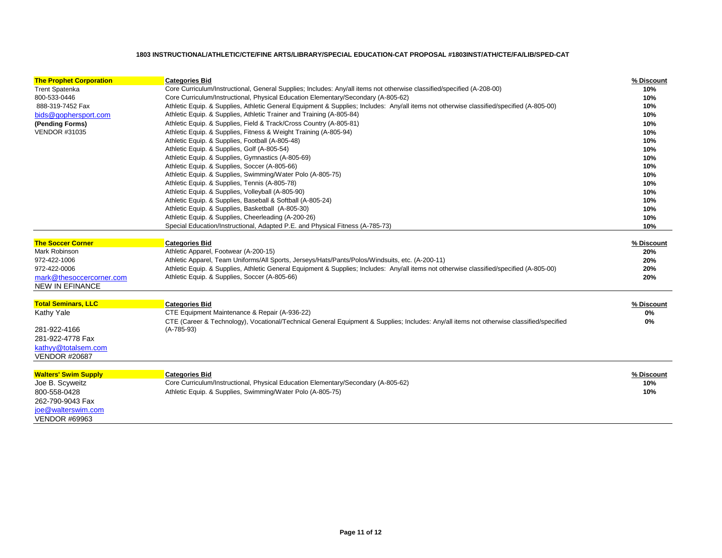| <b>The Prophet Corporation</b> | <b>Categories Bid</b>                                                                                                                    | % Discount |
|--------------------------------|------------------------------------------------------------------------------------------------------------------------------------------|------------|
| <b>Trent Spatenka</b>          | Core Curriculum/Instructional, General Supplies; Includes: Any/all items not otherwise classified/specified (A-208-00)                   | 10%        |
| 800-533-0446                   | Core Curriculum/Instructional, Physical Education Elementary/Secondary (A-805-62)                                                        | 10%        |
| 888-319-7452 Fax               | Athletic Equip. & Supplies, Athletic General Equipment & Supplies; Includes: Any/all items not otherwise classified/specified (A-805-00) | 10%        |
| bids@gophersport.com           | Athletic Equip. & Supplies, Athletic Trainer and Training (A-805-84)                                                                     | 10%        |
| (Pending Forms)                | Athletic Equip. & Supplies, Field & Track/Cross Country (A-805-81)                                                                       | 10%        |
| <b>VENDOR #31035</b>           | Athletic Equip. & Supplies, Fitness & Weight Training (A-805-94)                                                                         | 10%        |
|                                | Athletic Equip. & Supplies, Football (A-805-48)                                                                                          | 10%        |
|                                | Athletic Equip. & Supplies, Golf (A-805-54)                                                                                              | 10%        |
|                                | Athletic Equip. & Supplies, Gymnastics (A-805-69)                                                                                        | 10%        |
|                                | Athletic Equip. & Supplies, Soccer (A-805-66)                                                                                            | 10%        |
|                                | Athletic Equip. & Supplies, Swimming/Water Polo (A-805-75)                                                                               | 10%        |
|                                | Athletic Equip. & Supplies, Tennis (A-805-78)                                                                                            | 10%        |
|                                | Athletic Equip. & Supplies, Volleyball (A-805-90)                                                                                        | 10%        |
|                                | Athletic Equip. & Supplies, Baseball & Softball (A-805-24)                                                                               | 10%        |
|                                | Athletic Equip. & Supplies, Basketball (A-805-30)                                                                                        | 10%        |
|                                | Athletic Equip. & Supplies, Cheerleading (A-200-26)                                                                                      | 10%        |
|                                | Special Education/Instructional, Adapted P.E. and Physical Fitness (A-785-73)                                                            | 10%        |
| <b>The Soccer Corner</b>       | <b>Categories Bid</b>                                                                                                                    | % Discount |
| Mark Robinson                  | Athletic Apparel, Footwear (A-200-15)                                                                                                    | 20%        |
| 972-422-1006                   | Athletic Apparel, Team Uniforms/All Sports, Jerseys/Hats/Pants/Polos/Windsuits, etc. (A-200-11)                                          | 20%        |
| 972-422-0006                   | Athletic Equip. & Supplies, Athletic General Equipment & Supplies; Includes: Any/all items not otherwise classified/specified (A-805-00) | 20%        |
| mark@thesoccercorner.com       | Athletic Equip. & Supplies, Soccer (A-805-66)                                                                                            | 20%        |
| <b>NEW IN EFINANCE</b>         |                                                                                                                                          |            |
| <b>Total Seminars, LLC</b>     | <b>Categories Bid</b>                                                                                                                    | % Discount |
| Kathy Yale                     | CTE Equipment Maintenance & Repair (A-936-22)                                                                                            | 0%         |
|                                | CTE (Career & Technology), Vocational/Technical General Equipment & Supplies; Includes: Any/all items not otherwise classified/specified | 0%         |
| 281-922-4166                   | $(A-785-93)$                                                                                                                             |            |
| 281-922-4778 Fax               |                                                                                                                                          |            |
| kathyy@totalsem.com            |                                                                                                                                          |            |
| <b>VENDOR #20687</b>           |                                                                                                                                          |            |
|                                |                                                                                                                                          |            |
| <b>Walters' Swim Supply</b>    | <b>Categories Bid</b>                                                                                                                    | % Discount |
| Joe B. Scyweitz                | Core Curriculum/Instructional, Physical Education Elementary/Secondary (A-805-62)                                                        | 10%        |
| 800-558-0428                   | Athletic Equip. & Supplies, Swimming/Water Polo (A-805-75)                                                                               | 10%        |
| 262-790-9043 Fax               |                                                                                                                                          |            |
| joe@walterswim.com             |                                                                                                                                          |            |
| <b>VENDOR #69963</b>           |                                                                                                                                          |            |